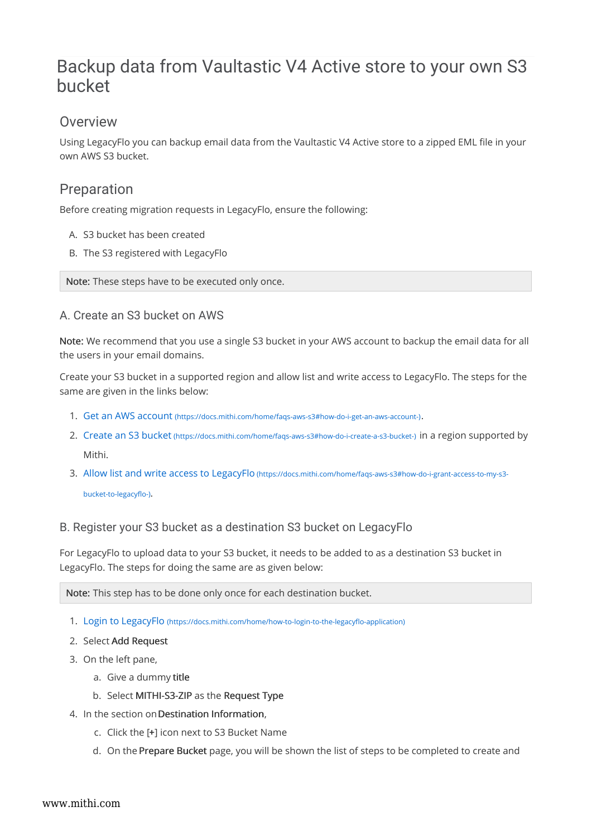# Backup data from Vaultastic V4 Active store to your own S3 bucket

## **Overview**

Using LegacyFlo you can backup email data from the Vaultastic V4 Active store to a zipped EML file in your own AWS S3 bucket.

## Preparation

Before creating migration requests in LegacyFlo, ensure the following:

- A. S3 bucket has been created
- B. The S3 registered with LegacyFlo

Note: These steps have to be executed only once.

#### A. Create an S3 bucket on AWS

Note: We recommend that you use a single S3 bucket in your AWS account to backup the email data for all the users in your email domains.

Create your S3 bucket in a supported region and allow list and write access to LegacyFlo. The steps for the same are given in the links below:

- 1. Get an AWS account (https://docs.mithi.com/home/faqs-aws-s3#how-do-i-get-an-aws-account-).
- 2. Create an S3 bucket (https://docs.mithi.com/home/faqs-aws-s3#how-do-i-create-a-s3-bucket-) in a region supported by Mithi.
- 3. Allow list and write access to LegacyFlo (https://docs.mithi.com/home/faqs-aws-s3#how-do-i-grant-access-to-my-s3-

bucket-to-legacyflo-).

### B. Register your S3 bucket as a destination S3 bucket on LegacyFlo

For LegacyFlo to upload data to your S3 bucket, it needs to be added to as a destination S3 bucket in LegacyFlo. The steps for doing the same are as given below:

Note: This step has to be done only once for each destination bucket.

- 1. Login to LegacyFlo (https://docs.mithi.com/home/how-to-login-to-the-legacyflo-application)
- 2. Select Add Request
- 3. On the left pane,
	- a. Give a dummy title
	- b. Select MITHI-S3-ZIP as the Request Type
- 4. In the section onDestination Information,
	- c. Click the [+] icon next to S3 Bucket Name
	- d. On the Prepare Bucket page, you will be shown the list of steps to be completed to create and